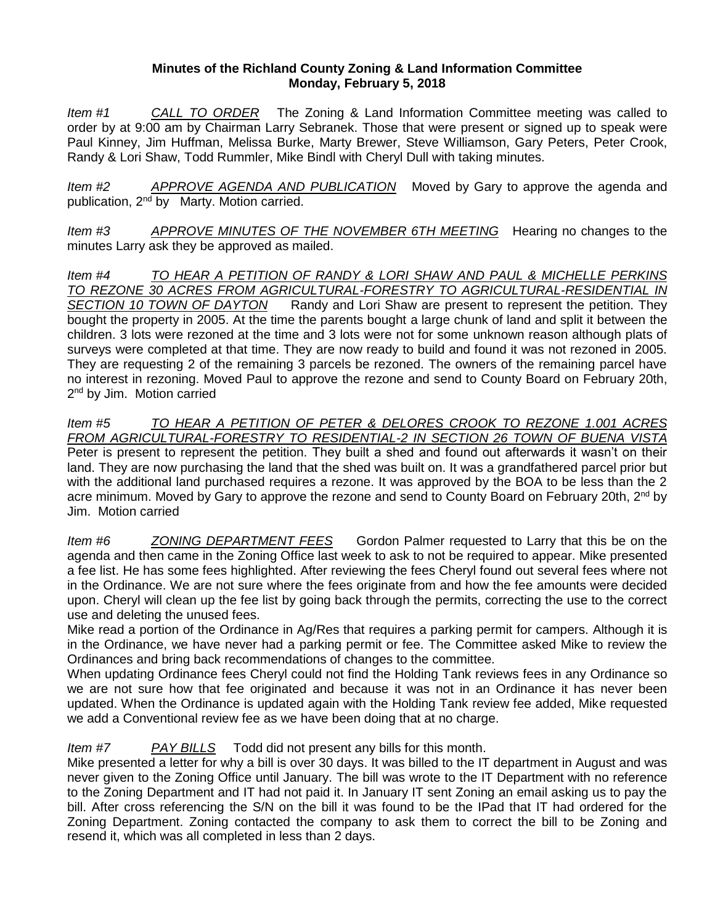## **Minutes of the Richland County Zoning & Land Information Committee Monday, February 5, 2018**

*Item #1 CALL TO ORDER* The Zoning & Land Information Committee meeting was called to order by at 9:00 am by Chairman Larry Sebranek. Those that were present or signed up to speak were Paul Kinney, Jim Huffman, Melissa Burke, Marty Brewer, Steve Williamson, Gary Peters, Peter Crook, Randy & Lori Shaw, Todd Rummler, Mike Bindl with Cheryl Dull with taking minutes.

*Item #2 APPROVE AGENDA AND PUBLICATION* Moved by Gary to approve the agenda and publication, 2nd by Marty. Motion carried.

*Item #3 APPROVE MINUTES OF THE NOVEMBER 6TH MEETING* Hearing no changes to the minutes Larry ask they be approved as mailed.

*Item #4 TO HEAR A PETITION OF RANDY & LORI SHAW AND PAUL & MICHELLE PERKINS TO REZONE 30 ACRES FROM AGRICULTURAL-FORESTRY TO AGRICULTURAL-RESIDENTIAL IN SECTION 10 TOWN OF DAYTON* Randy and Lori Shaw are present to represent the petition. They bought the property in 2005. At the time the parents bought a large chunk of land and split it between the children. 3 lots were rezoned at the time and 3 lots were not for some unknown reason although plats of surveys were completed at that time. They are now ready to build and found it was not rezoned in 2005. They are requesting 2 of the remaining 3 parcels be rezoned. The owners of the remaining parcel have no interest in rezoning. Moved Paul to approve the rezone and send to County Board on February 20th, 2<sup>nd</sup> by Jim. Motion carried

*Item #5 TO HEAR A PETITION OF PETER & DELORES CROOK TO REZONE 1.001 ACRES FROM AGRICULTURAL-FORESTRY TO RESIDENTIAL-2 IN SECTION 26 TOWN OF BUENA VISTA* Peter is present to represent the petition. They built a shed and found out afterwards it wasn't on their land. They are now purchasing the land that the shed was built on. It was a grandfathered parcel prior but with the additional land purchased requires a rezone. It was approved by the BOA to be less than the 2 acre minimum. Moved by Gary to approve the rezone and send to County Board on February 20th,  $2^{nd}$  by Jim. Motion carried

*Item #6 ZONING DEPARTMENT FEES* Gordon Palmer requested to Larry that this be on the agenda and then came in the Zoning Office last week to ask to not be required to appear. Mike presented a fee list. He has some fees highlighted. After reviewing the fees Cheryl found out several fees where not in the Ordinance. We are not sure where the fees originate from and how the fee amounts were decided upon. Cheryl will clean up the fee list by going back through the permits, correcting the use to the correct use and deleting the unused fees.

Mike read a portion of the Ordinance in Ag/Res that requires a parking permit for campers. Although it is in the Ordinance, we have never had a parking permit or fee. The Committee asked Mike to review the Ordinances and bring back recommendations of changes to the committee.

When updating Ordinance fees Cheryl could not find the Holding Tank reviews fees in any Ordinance so we are not sure how that fee originated and because it was not in an Ordinance it has never been updated. When the Ordinance is updated again with the Holding Tank review fee added, Mike requested we add a Conventional review fee as we have been doing that at no charge.

## *Item #7 PAY BILLS* Todd did not present any bills for this month.

Mike presented a letter for why a bill is over 30 days. It was billed to the IT department in August and was never given to the Zoning Office until January. The bill was wrote to the IT Department with no reference to the Zoning Department and IT had not paid it. In January IT sent Zoning an email asking us to pay the bill. After cross referencing the S/N on the bill it was found to be the IPad that IT had ordered for the Zoning Department. Zoning contacted the company to ask them to correct the bill to be Zoning and resend it, which was all completed in less than 2 days.